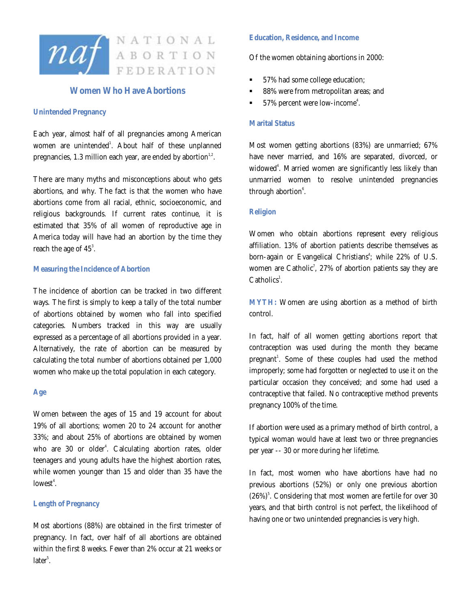

# **Women Who Have Abortions**

### **Unintended Pregnancy**

Each year, almost half of all pregnancies among American women are unintended<sup>1</sup>. About half of these unplanned pregnancies,  $1.3$  million each year, are ended by abortion $^{1.2}$ .

There are many myths and misconceptions about who gets abortions, and why. The fact is that the women who have abortions come from all racial, ethnic, socioeconomic, and religious backgrounds. If current rates continue, it is estimated that 35% of all women of reproductive age in America today will have had an abortion by the time they reach the age of  $45^{\degree}$ .

### **Measuring the Incidence of Abortion**

The incidence of abortion can be tracked in two different ways. The first is simply to keep a tally of the total number of abortions obtained by women who fall into specified categories. Numbers tracked in this way are usually expressed as a percentage of all abortions provided in a year. Alternatively, the rate of abortion can be measured by calculating the total number of abortions obtained per 1,000 women who make up the total population in each category.

#### **Age**

Women between the ages of 15 and 19 account for about 19% of all abortions; women 20 to 24 account for another 33%; and about 25% of abortions are obtained by women who are 30 or older<sup>4</sup>. Calculating abortion rates, older teenagers and young adults have the highest abortion rates, while women younger than 15 and older than 35 have the lowest<sup>4</sup>.

# **Length of Pregnancy**

Most abortions (88%) are obtained in the first trimester of pregnancy. In fact, over half of all abortions are obtained within the first 8 weeks. Fewer than 2% occur at 21 weeks or  $later<sup>5</sup>.$ 

# **Education, Residence, and Income**

Of the women obtaining abortions in 2000:

- 57% had some college education;
- 88% were from metropolitan areas; and
- $\bullet$  57% percent were low-income<sup>4</sup>.

# **Marital Status**

Most women getting abortions (83%) are unmarried; 67% have never married, and 16% are separated, divorced, or widowed<sup>4</sup>. Married women are significantly less likely than unmarried women to resolve unintended pregnancies through abortion<sup>6</sup>.

### **Religion**

Women who obtain abortions represent every religious affiliation. 13% of abortion patients describe themselves as born-again or Evangelical Christians<sup>4</sup>; while 22% of U.S. women are Catholic<sup>7</sup>, 27% of abortion patients say they are  $Catholics<sup>1</sup>$ .

**MYTH:** Women are using abortion as a method of birth control.

In fact, half of all women getting abortions report that contraception was used during the month they became pregnant<sup>1</sup>. Some of these couples had used the method improperly; some had forgotten or neglected to use it on the particular occasion they conceived; and some had used a contraceptive that failed. No contraceptive method prevents pregnancy 100% of the time.

If abortion were used as a primary method of birth control, a typical woman would have at least two or three pregnancies per year -- 30 or more during her lifetime.

In fact, most women who have abortions have had no previous abortions (52%) or only one previous abortion  $(26\%)^5$ . Considering that most women are fertile for over 30 years, and that birth control is not perfect, the likelihood of having one or two unintended pregnancies is very high.